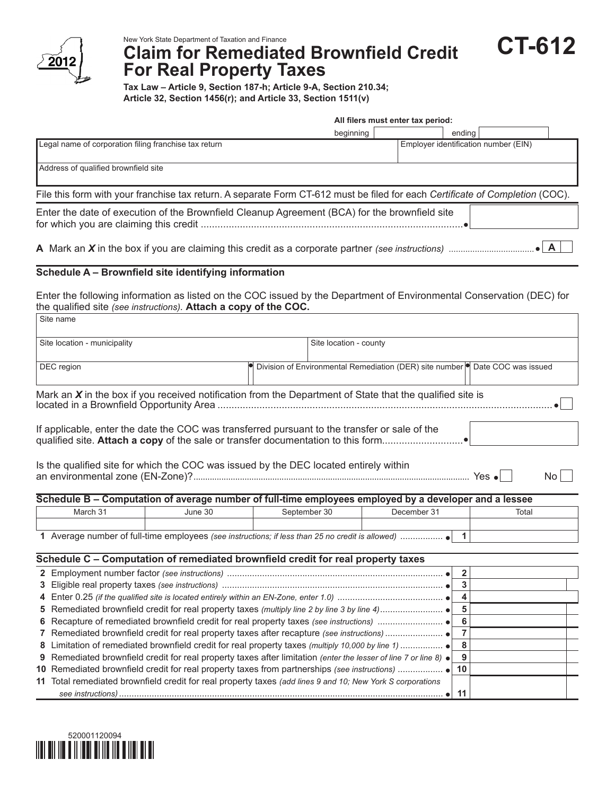

## **Claim for Remediated Brownfield Credit For Real Property Taxes**

**Tax Law – Article 9, Section 187-h; Article 9-A, Section 210.34; Article 32, Section 1456(r); and Article 33, Section 1511(v)**

| All filers must enter tax period:                                                                                             |           |  |        |                                      |  |
|-------------------------------------------------------------------------------------------------------------------------------|-----------|--|--------|--------------------------------------|--|
|                                                                                                                               | beginning |  | ending |                                      |  |
| Legal name of corporation filing franchise tax return                                                                         |           |  |        | Employer identification number (EIN) |  |
| Address of qualified brownfield site                                                                                          |           |  |        |                                      |  |
| File this form with your franchise tax return. A separate Form CT-612 must be filed for each Certificate of Completion (COC). |           |  |        |                                      |  |
| Enter the date of execution of the Brownfield Cleanup Agreement (BCA) for the brownfield site                                 |           |  |        |                                      |  |
|                                                                                                                               |           |  |        |                                      |  |

## **Schedule A – Brownfield site identifying information**

Site name Enter the following information as listed on the COC issued by the Department of Environmental Conservation (DEC) for the qualified site *(see instructions).* **Attach a copy of the COC.**

| Site location - municipality                                                                                | Site location - county                                                               |  |  |  |  |  |
|-------------------------------------------------------------------------------------------------------------|--------------------------------------------------------------------------------------|--|--|--|--|--|
| DEC region                                                                                                  | Division of Environmental Remediation (DER) site number <b>O</b> Date COC was issued |  |  |  |  |  |
|                                                                                                             |                                                                                      |  |  |  |  |  |
| Mark an $X$ in the box if you received notification from the Department of State that the qualified site is |                                                                                      |  |  |  |  |  |
| If applicable, enter the date the COC was transferred pursuant to the transfer or sale of the               |                                                                                      |  |  |  |  |  |
| Is the qualified site for which the COC was issued by the DEC located entirely within<br>Yes $\bullet$      |                                                                                      |  |  |  |  |  |

| Schedule B – Computation of average number of full-time employees employed by a developer and a lessee |         |              |             |       |  |
|--------------------------------------------------------------------------------------------------------|---------|--------------|-------------|-------|--|
| March 31                                                                                               | June 30 | September 30 | December 31 | Total |  |
|                                                                                                        |         |              |             |       |  |
| Average number of full-time employees (see instructions: if less than 25 no credit is allowed)         |         |              |             |       |  |

| Schedule C - Computation of remediated brownfield credit for real property taxes                                         |     |  |  |
|--------------------------------------------------------------------------------------------------------------------------|-----|--|--|
|                                                                                                                          |     |  |  |
|                                                                                                                          |     |  |  |
|                                                                                                                          |     |  |  |
|                                                                                                                          |     |  |  |
|                                                                                                                          | - 6 |  |  |
|                                                                                                                          |     |  |  |
|                                                                                                                          |     |  |  |
| 9 Remediated brownfield credit for real property taxes after limitation (enter the lesser of line 7 or line 8) $\bullet$ |     |  |  |
|                                                                                                                          | 10  |  |  |
| 11 Total remediated brownfield credit for real property taxes (add lines 9 and 10; New York S corporations               |     |  |  |
|                                                                                                                          | -11 |  |  |